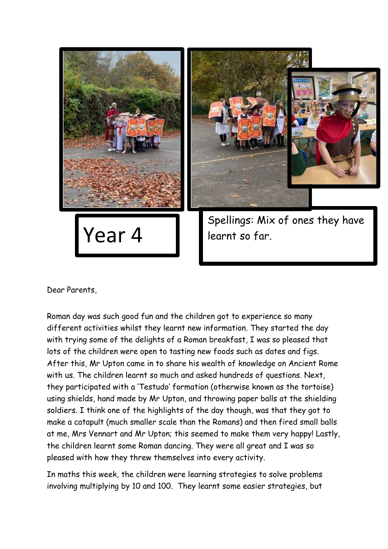

Dear Parents,

Roman day was such good fun and the children got to experience so many different activities whilst they learnt new information. They started the day with trying some of the delights of a Roman breakfast, I was so pleased that lots of the children were open to tasting new foods such as dates and figs. After this, Mr Upton came in to share his wealth of knowledge on Ancient Rome with us. The children learnt so much and asked hundreds of questions. Next, they participated with a 'Testudo' formation (otherwise known as the tortoise) using shields, hand made by Mr Upton, and throwing paper balls at the shielding soldiers. I think one of the highlights of the day though, was that they got to make a catapult (much smaller scale than the Romans) and then fired small balls at me, Mrs Vennart and Mr Upton; this seemed to make them very happy! Lastly, the children learnt some Roman dancing. They were all great and I was so pleased with how they threw themselves into every activity.

In maths this week, the children were learning strategies to solve problems involving multiplying by 10 and 100. They learnt some easier strategies, but